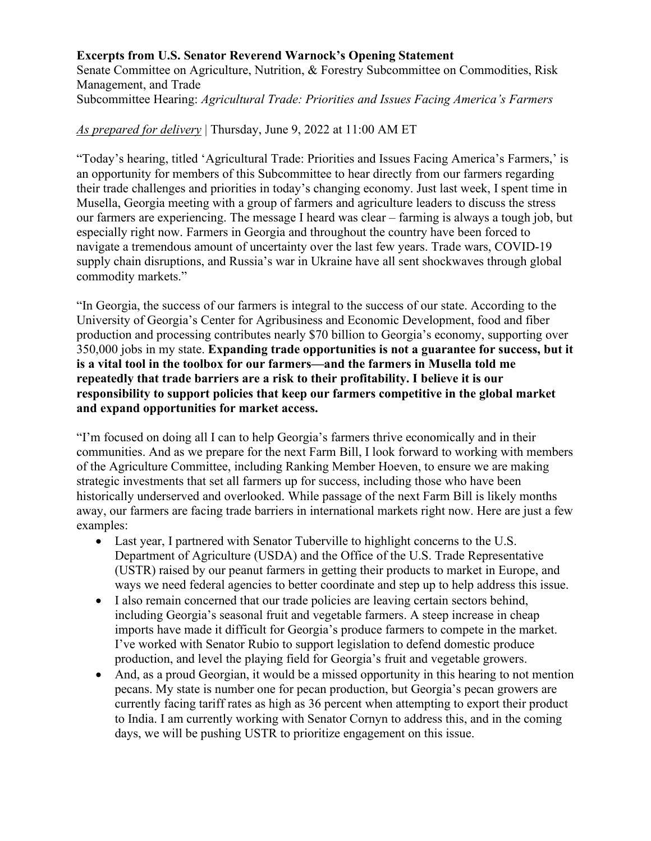## **Excerpts from U.S. Senator Reverend Warnock's Opening Statement**

Senate Committee on Agriculture, Nutrition, & Forestry Subcommittee on Commodities, Risk Management, and Trade Subcommittee Hearing: *Agricultural Trade: Priorities and Issues Facing America's Farmers*

## *As prepared for delivery* | Thursday, June 9, 2022 at 11:00 AM ET

"Today's hearing, titled 'Agricultural Trade: Priorities and Issues Facing America's Farmers,' is an opportunity for members of this Subcommittee to hear directly from our farmers regarding their trade challenges and priorities in today's changing economy. Just last week, I spent time in Musella, Georgia meeting with a group of farmers and agriculture leaders to discuss the stress our farmers are experiencing. The message I heard was clear – farming is always a tough job, but especially right now. Farmers in Georgia and throughout the country have been forced to navigate a tremendous amount of uncertainty over the last few years. Trade wars, COVID-19 supply chain disruptions, and Russia's war in Ukraine have all sent shockwaves through global commodity markets."

"In Georgia, the success of our farmers is integral to the success of our state. According to the University of Georgia's Center for Agribusiness and Economic Development, food and fiber production and processing contributes nearly \$70 billion to Georgia's economy, supporting over 350,000 jobs in my state. **Expanding trade opportunities is not a guarantee for success, but it is a vital tool in the toolbox for our farmers—and the farmers in Musella told me repeatedly that trade barriers are a risk to their profitability. I believe it is our responsibility to support policies that keep our farmers competitive in the global market and expand opportunities for market access.**

"I'm focused on doing all I can to help Georgia's farmers thrive economically and in their communities. And as we prepare for the next Farm Bill, I look forward to working with members of the Agriculture Committee, including Ranking Member Hoeven, to ensure we are making strategic investments that set all farmers up for success, including those who have been historically underserved and overlooked. While passage of the next Farm Bill is likely months away, our farmers are facing trade barriers in international markets right now. Here are just a few examples:

- Last year, I partnered with Senator Tuberville to highlight concerns to the U.S. Department of Agriculture (USDA) and the Office of the U.S. Trade Representative (USTR) raised by our peanut farmers in getting their products to market in Europe, and ways we need federal agencies to better coordinate and step up to help address this issue.
- I also remain concerned that our trade policies are leaving certain sectors behind, including Georgia's seasonal fruit and vegetable farmers. A steep increase in cheap imports have made it difficult for Georgia's produce farmers to compete in the market. I've worked with Senator Rubio to support legislation to defend domestic produce production, and level the playing field for Georgia's fruit and vegetable growers.
- And, as a proud Georgian, it would be a missed opportunity in this hearing to not mention pecans. My state is number one for pecan production, but Georgia's pecan growers are currently facing tariff rates as high as 36 percent when attempting to export their product to India. I am currently working with Senator Cornyn to address this, and in the coming days, we will be pushing USTR to prioritize engagement on this issue.